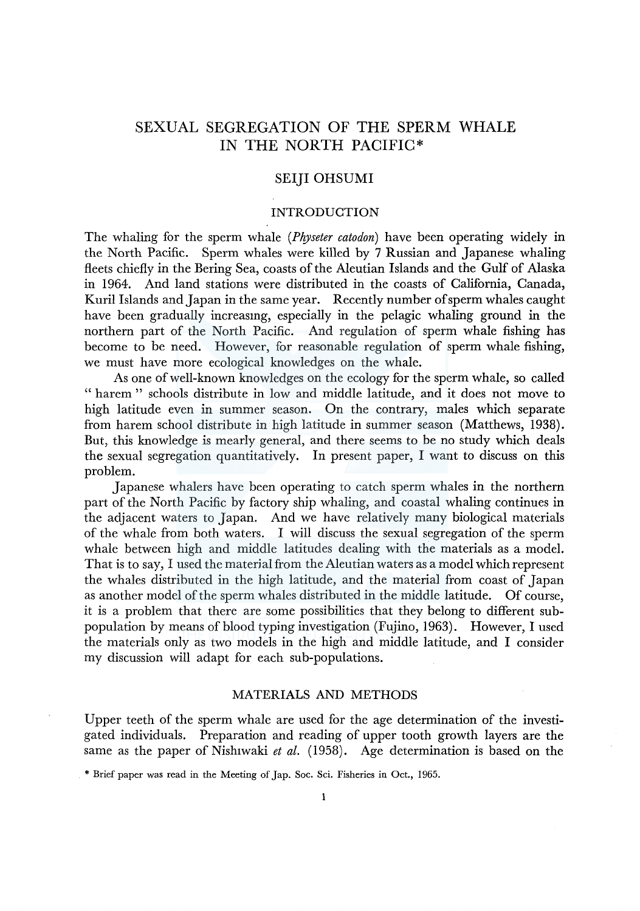# SEXUAL SEGREGATION OF THE SPERM WHALE IN THE NORTH PACIFIC\*

# SEIJI OHSUMI

# INTRODUCTION

The whaling for the sperm whale *(Physeter catodon)* have been operating widely in the North Pacific. Sperm whales were killed by 7 Russian and Japanese whaling fleets chiefly in the Bering Sea, coasts of the Aleutian Islands and the Gulf of Alaska in 1964. And land stations were distributed in the coasts of California, Canada, Kuril Islands and Japan in the same year. Recently number of sperm whales caught have been gradually increasmg, especially in the pelagic whaling ground in the northern part of the North Pacific. And regulation of sperm whale fishing has become to be need. However, for reasonable regulation of sperm whale fishing, we must have more ecological knowledges on the whale.

As one of well-known knowledges on the ecology for the sperm whale, so called " harem " schools distribute in low and middle latitude, and it does not move to high latitude even in summer season. On the contrary, males which separate from harem school distribute in high latitude in summer season (Matthews, 1938). But, this knowledge is mearly general, and there seems to be no study which deals the sexual segregation quantitatively. In present paper, I want to discuss on this problem.

Japanese whalers have been operating to catch sperm whales in the northern part of the North Pacific by factory ship whaling, and coastal whaling continues in the adjacent waters to Japan. And we have relatively many biological materials of the whale from both waters. I will discuss the sexual segregation of the sperm whale between high and middle latitudes dealing with the materials as a model. That is to say, I used the material from the Aleutian waters as a model which represent the whales distributed in the high latitude, and the material from coast of Japan as another model of the sperm whales distributed in the middle latitude. Of course, it is a problem that there are some possibilities that they belong to different subpopulation by means of blood typing investigation (Fujino, 1963). However, I used the materials only as two models in the high and middle latitude, and I consider my discussion will adapt for each sub-populations.

### MATERIALS AND METHODS

Upper teeth of the sperm whale are used for the age determination of the investigated individuals. Preparation and reading of upper tooth growth layers are the same as the paper of Nishiwaki *et al.* (1958). Age determination is based on the

<sup>\*</sup> Brief paper was read in the Meeting of Jap. Soc. Sci. Fisheries in Oct., 1965.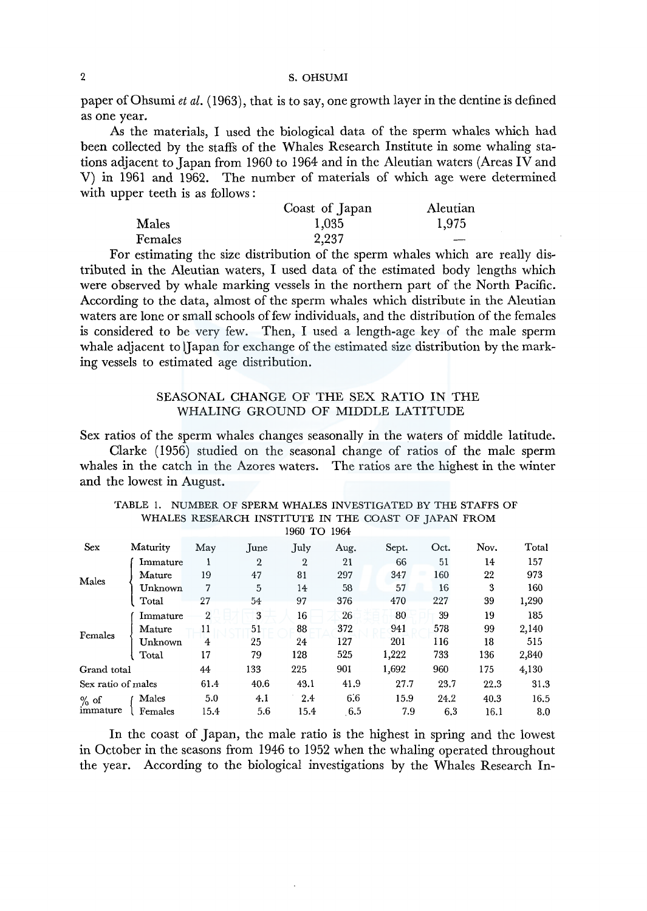paper of Ohsumi *et al.* (1963), that is to say, one growth layer in the dentine is defined as one year.

As the materials, I used the biological data of the sperm whales which had been collected by the staffs of the Whales Research Institute in some whaling stations adjacent to Japan from 1960 to 1964 and in the Aleutian waters (Areas IV and V) in 1961 and 1962. The number of materials of which age were determined with upper teeth is as follows :

|         | Coast of Japan | Aleutian |
|---------|----------------|----------|
| Males   | 1,035          | 1,975    |
| Females | 2,237          | ---      |

For estimating the size distribution of the sperm whales which are really distributed in the Aleutian waters, I used data of the estimated body lengths which were observed by whale marking vessels in the northern part of the North Pacific. According to the data, almost of the sperm whales which distribute in the Aleutian waters are lone or small schools of few individuals, and the distribution of the females is considered to be very few. Then, I used a length-age key of the male sperm whale adjacent to JJapan for exchange of the estimated size distribution by the marking vessels to estimated age distribution.

### SEASONAL CHANGE OF THE SEX RATIO IN THE WHALING GROUND OF MIDDLE LATITUDE

Sex ratios of the sperm whales changes seasonally in the waters of middle latitude.

Clarke ( 1956) studied on the seasonal change of ratios of the male sperm whales in the catch in the Azores waters. The ratios are the highest in the winter and the lowest in August.

|                    |          |                |                | 1900 IO 1904 |      |       |      |      |       |
|--------------------|----------|----------------|----------------|--------------|------|-------|------|------|-------|
| Sex                | Maturity | May            | June           | July         | Aug. | Sept. | Oct. | Nov. | Total |
|                    | Immature |                | $\overline{2}$ | 2            | 21   | 66    | 51   | 14   | 157   |
| Males              | Mature   | 19             | 47             | 81           | 297  | 347   | 160  | 22   | 973   |
|                    | Unknown  | 7              | 5              | 14           | 58   | 57    | 16   | 3    | 160   |
|                    | Total    | 27             | 54             | 97           | 376  | 470   | 227  | 39   | 1,290 |
|                    | Immature | $\overline{2}$ | 3              | 16           | 26   | 80    | 39   | 19   | 185   |
|                    | Mature   | 11             | 51             | 88           | 372  | 941   | 578  | 99   | 2,140 |
| Females            | Unknown  | 4              | 25             | 24           | 127  | 201   | 116  | 18   | 515   |
|                    | Total    | 17             | 79             | 128          | 525  | 1,222 | 733  | 136  | 2,840 |
| Grand total        |          | 44             | 133            | 225          | 901  | 1,692 | 960  | 175  | 4,130 |
| Sex ratio of males |          | 61.4           | 40.6           | 43.1         | 41.9 | 27.7  | 23.7 | 22.3 | 31.3  |
| $%$ of             | Males    | 5.0            | 4.1            | 2.4          | 6.6  | 15.9  | 24.2 | 40.3 | 16.5  |
| immature           | Females  | 15.4           | 5.6            | 15.4         | 6.5  | 7.9   | 6.3  | 16.1 | 8.0   |
|                    |          |                |                |              |      |       |      |      |       |

TABLE 1. NUMBER OF SPERM WHALES INVESTIGATED BY THE STAFFS OF WHALES RESEARCH INSTITUTE IN THE COAST OF JAPAN FROM 1960 TO 1964

In the coast of Japan, the male ratio is the highest in spring and the lowest in October in the seasons from 1946 to 1952 when the whaling operated throughout the year. According to the biological investigations by the Whales Research In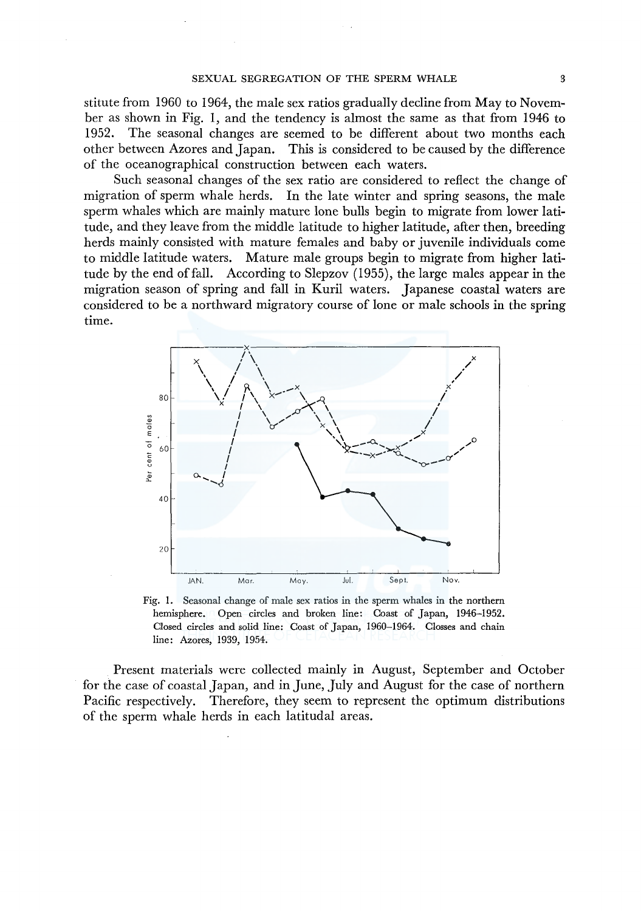stitute from 1960 to 1964, the male sex ratios gradually decline from May to November as shown in Fig. 1, and the tendency is almost the same as that from 1946 to 1952. The seasonal changes are seemed to be different about two months each other between Azores and Japan. This is considered to be caused by the difference of the oceanographical construction between each waters.

Such seasonal changes of the sex ratio are considered to reflect the change of migration of sperm whale herds. In the late winter and spring seasons, the male sperm whales which are mainly mature lone bulls begin to migrate from lower latitude, and they leave from the middle latitude to higher latitude, after then, breeding herds mainly consisted with mature females and baby or juvenile individuals come to middle latitude waters. Mature male groups begin to migrate from higher latitude by the end of fall. According to Slepzov (1955), the large males appear in the migration season of spring and fall in Kuril waters. Japanese coastal waters are considered to be a northward migratory course of lone or male schools in the spring time.



Fig. 1. Seasonal change of male sex ratios in the sperm whales in the northern hemisphere. Open circles and broken line: Coast of Japan, 1946-1952. Closed circles and solid line: Coast of Japan, 1960-1964. Glosses and chain line: Azores, 1939, 1954.

Present materials were collected mainly in August, September and October for the case of coastal Japan, and in June, July and August for the case of northern Pacific respectively. Therefore, they seem to represent the optimum distributions of the sperm whale herds in each latitudal areas.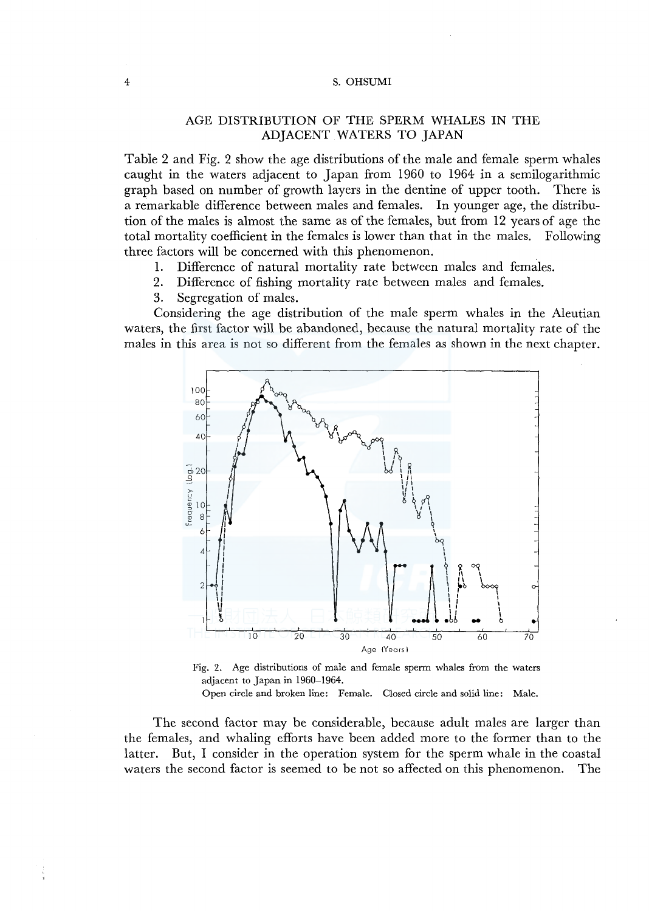# AGE DISTRIBUTION OF THE SPERM WHALES IN THE ADJACENT WATERS TO JAPAN

Table 2 and Fig. 2 show the age distributions of the male and female sperm whales caught in the waters adjacent to Japan from 1960 to 1964 in a semilogarithmic graph based on number of growth layers in the dentine of upper tooth. There is a remarkable difference between males and females. In younger age, the distribution of the males is almost the same as of the females, but from 12 years of age the total mortality coefficient in the females is lower than that in the males. Following three factors will be concerned with this phenomenon.

- 1. Difference of natural mortality rate between males and females.<br>2. Difference of fishing mortality rate between males and females.
- 2. Difference of fishing mortality rate between males and females.
- 3. Segregation of males.

Considering the age distribution of the male sperm whales in the Aleutian waters, the first factor will be abandoned, because the natural mortality rate of the males in this area is not so different from the females as shown in the next chapter.





Open circle and broken line: Female. Closed circle and solid line: Male.

The second factor may be considerable, because adult males are larger than the females, and whaling efforts have been added more to the former than to the latter. But, I consider in the operation system for the sperm whale in the coastal waters the second factor is seemed to be not so affected on this phenomenon. The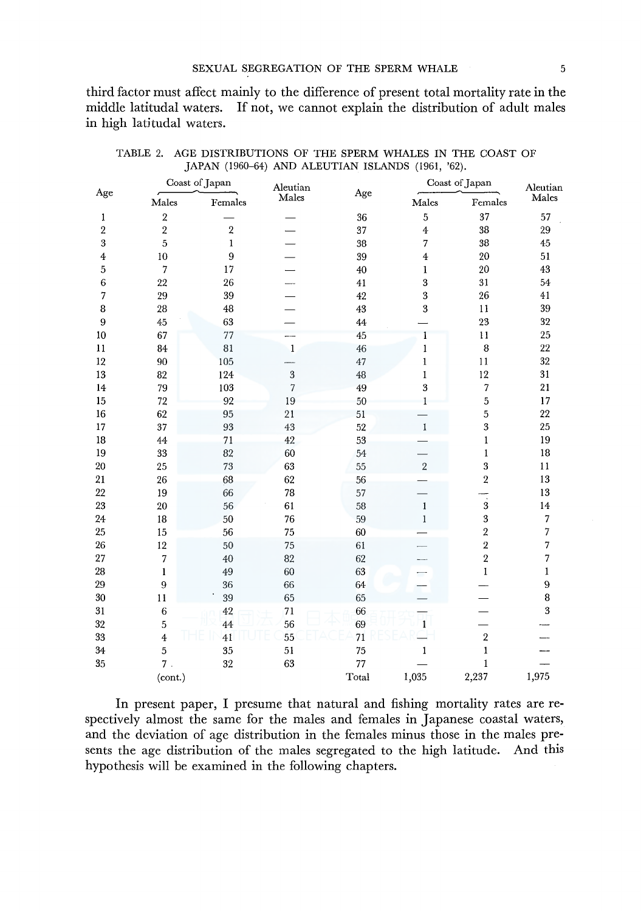third factor must affect mainly to the difference of present total mortality rate in the middle latitudal waters. If not, we cannot explain the distribution of adult males in high latitudal waters.

| Age |                | Coast of Japan | Aleutian       |       | Coast of Japan          | Aleutian                |       |
|-----|----------------|----------------|----------------|-------|-------------------------|-------------------------|-------|
|     | Males          | Females        | Males          | Age   | Males                   | Females                 | Males |
| 1   | $\overline{a}$ |                |                | 36    | 5                       | 37                      | 57    |
| 2   | $\sqrt{2}$     | $\sqrt{2}$     |                | 37    | $\boldsymbol{4}$        | 38                      | 29    |
| 3   | 5              | $\mathbf{1}$   |                | 38    | 7                       | 38                      | 45    |
| 4   | 10             | 9              |                | 39    | $\overline{\mathbf{4}}$ | 20                      | 51    |
| 5   | 7              | 17             |                | 40    | 1                       | 20                      | 43    |
| 6   | 22             | 26             |                | 41    | 3                       | 31                      | 54    |
| 7   | 29             | 39             |                | 42    | 3                       | 26                      | 41    |
| 8   | 28             | 48             |                | 43    | 3                       | 11                      | 39    |
| 9   | 45             | 63             |                | 44    |                         | 23                      | 32    |
| 10  | 67             | 77             |                | 45    | 1                       | 11                      | 25    |
| 11  | 84             | 81             | 1              | 46    | $\mathbf{1}$            | 8                       | 22    |
| 12  | 90             | 105            |                | 47    | $\mathbf 1$             | 11                      | 32    |
| 13  | 82             | 124            | 3              | 48    | $\mathbf{I}$            | 12                      | 31    |
| 14  | 79             | 103            | $\overline{7}$ | 49    | 3                       | 7                       | 21    |
| 15  | 72             | 92             | 19             | 50    | 1                       | 5                       | 17    |
| 16  | 62             | 95             | 21             | 51    |                         | 5                       | 22    |
| 17  | 37             | 93             | 43             | 52    | $\mathbf{I}$            | 3                       | 25    |
| 18  | 44             | 71             | 42             | 53    |                         | 1                       | 19    |
| 19  | 33             | 82             | 60             | 54    |                         | $\mathbf{1}$            | 18    |
| 20  | 25             | 73             | 63             | 55    | $\overline{2}$          | 3                       | 11    |
| 21  | 26             | 68             | 62             | 56    |                         | $\overline{2}$          | 13    |
| 22  | 19             | 66             | 78             | 57    |                         | $\overline{\cdot}$      | 13    |
| 23  | 20             | 56             | 61             | 58    | $\mathbf{1}$            | $\boldsymbol{3}$        | 14    |
| 24  | 18             | 50             | 76             | 59    | $\mathbf{1}$            | 3                       | 7     |
| 25  | 15             | 56             | 75             | 60    |                         | $\overline{\mathbf{2}}$ | 7     |
| 26  | 12             | 50             | 75             | 61    |                         | $\overline{2}$          | 7     |
| 27  | 7              | 40             | 82             | 62    |                         | $\overline{\mathbf{2}}$ | 7     |
| 28  | 1              | 49             | 60             | 63    |                         | $\,1$                   | 1     |
| 29  | 9              | 36             | 66             | 64    |                         |                         | 9     |
| 30  | 11             | 39             | 65             | 65    |                         |                         | 8     |
| 31  | $\,$ 6 $\,$    | $42\,$         | 71             | 66    |                         |                         | 3     |
| 32  | 5              | 44             | 56             | 69    | $\mathbf{1}$            |                         |       |
| 33  | $\overline{4}$ | 41             | 55             | 71    |                         | $\overline{\mathbf{c}}$ |       |
| 34  | 5              | 35             | 51             | 75    | 1                       | $\mathbf{1}$            |       |
| 35  | 7.             | 32             | 63             | 77    |                         | $\mathbf{1}$            |       |
|     | (cont.)        |                |                | Total | 1,035                   | 2,237                   | 1,975 |

TABLE 2. AGE DISTRIBUTIONS OF THE SPERM WHALES IN THE COAST OF JAPAN (1960-64) AND ALEUTIAN ISLANDS (1961, '62).

In present paper, I presume that natural and fishing mortality rates are respectively almost the same for the males and females in Japanese coastal waters, and the deviation of age distribution in the females minus those in the males presents the age distribution of the males segregated to the high latitude. And this hypothesis will be examined in the following chapters.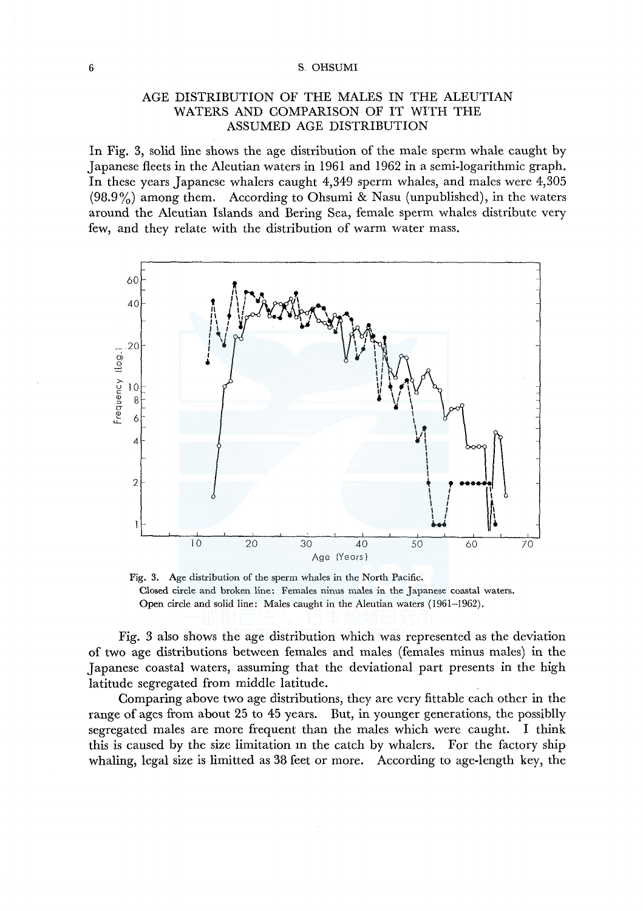# AGE DISTRIBUTION OF THE MALES IN THE ALEUTIAN WATERS AND COMPARISON OF IT WITH THE ASSUMED AGE DISTRIBUTION

In Fig. 3, solid line shows the age distribution of the male sperm whale caught by Japanese fleets in the Aleutian waters in 1961 and 1962 in a semi-logarithmic graph. In these years Japanese whalers caught 4,349 sperm whales, and males were 4,305 (98.9%) among them. According to Ohsumi & Nasu (unpublished), in the waters around the Aleutian Islands and Bering Sea, female sperm whales distribute very few, and they relate with the distribution of warm water mass.



Fig. 3. Age distribution of the sperm whales in the North Pacific. Closed circle and broken line: Females ninus males in the Japanese coastal waters. Open circle and solid line: Males caught in the Aleutian waters (1961-1962).

Fig. 3 also shows the age distribution which was represented as the deviation of two age distributions between females and males (females minus males) in the Japanese coastal waters, assuming that the deviational part presents in the high latitude segregated from middle latitude.

Comparing above two age distributions, they are very fittable each other in the range of ages from about 25 to 45 years. But, in younger generations, the possiblly segregated males are more frequent than the males which were caught. I think this is caused by the size limitation m the catch by whalers. For the factory ship whaling, legal size is limitted as 38 feet or more. According to age-length key, the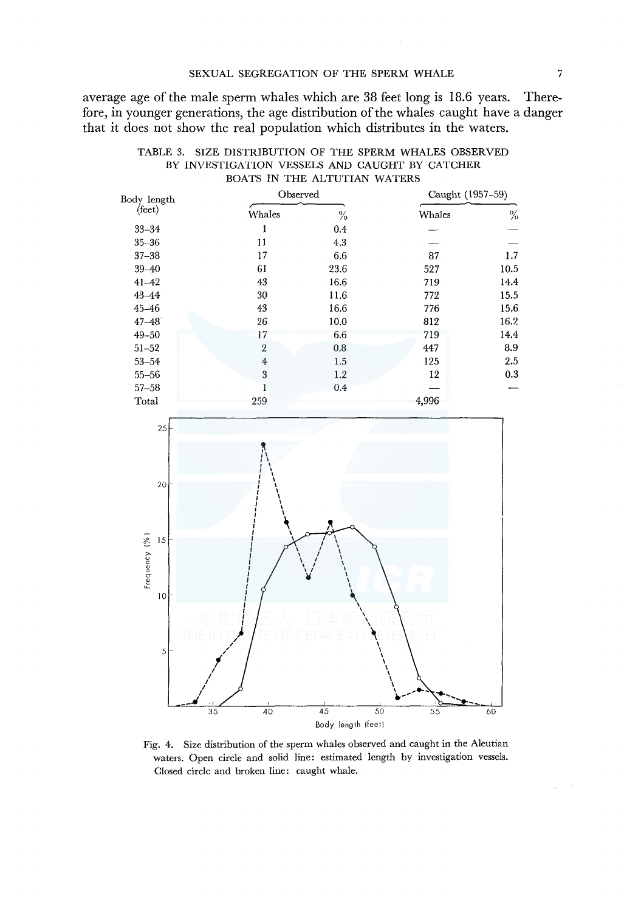average age of the male sperm whales which are 38 feet long is 18.6 years. Therefore, in younger generations, the age distribution of the whales caught have a danger that it does not show the real population which distributes in the waters.

| Body length     | Observed       |      |        | Caught (1957-59) |  |  |  |
|-----------------|----------------|------|--------|------------------|--|--|--|
| $(\text{feet})$ | Whales         | $\%$ | Whales | $\%$             |  |  |  |
| $33 - 34$       | 1              | 0.4  |        |                  |  |  |  |
| $35 - 36$       | 11             | 4.3  |        |                  |  |  |  |
| $37 - 38$       | 17             | 6.6  | 87     | 1.7              |  |  |  |
| $39 - 40$       | 61             | 23.6 | 527    | 10.5             |  |  |  |
| $41 - 42$       | 43             | 16.6 | 719    | 14.4             |  |  |  |
| $43 - 44$       | 30             | 11.6 | 772    | 15.5             |  |  |  |
| $45 - 46$       | 43             | 16.6 | 776    | 15.6             |  |  |  |
| $47 - 48$       | 26             | 10.0 | 812    | 16.2             |  |  |  |
| $49 - 50$       | 17             | 6.6  | 719    | 14.4             |  |  |  |
| $51 - 52$       | $\overline{2}$ | 0.8  | 447    | 8.9              |  |  |  |
| $53 - 54$       | $\overline{4}$ | 1.5  | 125    | 2.5              |  |  |  |
| $55 - 56$       | 3              | 1.2  | 12     | 0.3              |  |  |  |
| $57 - 58$       |                | 0.4  |        |                  |  |  |  |
| Total           | 259            |      | 4,996  |                  |  |  |  |





Fig. 4. Size distribution of the sperm whales observed and caught in the Aleutian waters. Open circle and solid line: estimated length by investigation vessels. Closed circle and broken line: caught whale.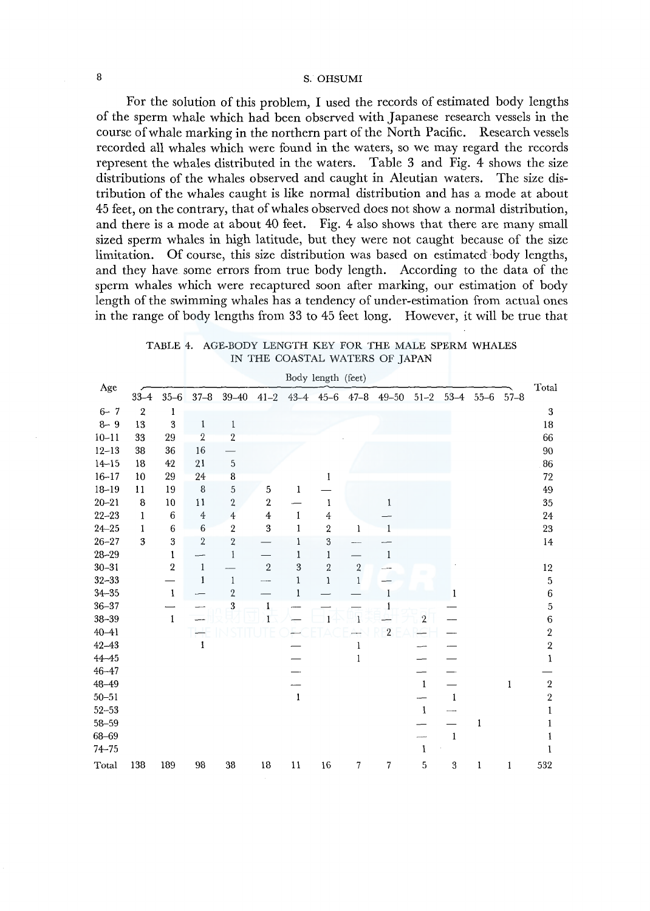For the solution of this problem, I used the records of estimated body lengths of the sperm whale which had been observed with Japanese research vessels in the course of whale marking in the northern part of the North Pacific. Research vessels recorded all whales which were found in the waters, so we may regard the records represent the whales distributed in the waters. Table 3 and Fig. 4 shows the size distributions of the whales observed and caught in Aleutian waters. The size distribution of the whales caught is like normal distribution and has a mode at about 45 feet, on the contrary, that of whales observed does not show a normal distribution, and there is a mode at about 40 feet. Fig. 4 also shows that there are many small sized sperm whales in high latitude, but they were not caught because of the size limitation. Of course, this size distribution was based on estimated body lengths, and they have some errors from true body length. According to the data of the sperm whales which were recaptured soon after marking, our estimation of body length of the swimming whales has a tendency of under-estimation from actual ones in the range of body lengths from 33 to 45 feet long. However, it will be true that

| TABLE 4. AGE-BODY LENGTH KEY FOR THE MALE SPERM WHALES |  |
|--------------------------------------------------------|--|
| IN THE COASTAL WATERS OF JAPAN                         |  |

|           |                  |                         |                |                         |                         |              | Body length (feet)   |              |                |              |               |              |              |                         |
|-----------|------------------|-------------------------|----------------|-------------------------|-------------------------|--------------|----------------------|--------------|----------------|--------------|---------------|--------------|--------------|-------------------------|
| Age       | $33 - 4$         | $35 - 6$                | $37 - 8$       | $39-40$ $41-2$          |                         |              | $43-4$ $45-6$ $47-8$ |              | $49 - 50$      |              | $51 - 2$ 53-4 | $55 - 6$     | $57 - 8$     | Total                   |
| $6 - 7$   | $\boldsymbol{2}$ | 1                       |                |                         |                         |              |                      |              |                |              |               |              |              | $\boldsymbol{3}$        |
| $8 - 9$   | 13               | $\overline{\mathbf{3}}$ | $\mathbf{I}$   | $\,1\,$                 |                         |              |                      |              |                |              |               |              |              | 18                      |
| $10 - 11$ | 33               | 29                      | $\overline{2}$ | $\overline{2}$          |                         |              |                      |              |                |              |               |              |              | 66                      |
| $12 - 13$ | 38               | 36                      | 16             |                         |                         |              |                      |              |                |              |               |              |              | 90                      |
| $14 - 15$ | 18               | 42                      | 21             | 5                       |                         |              |                      |              |                |              |               |              |              | 86                      |
| $16 - 17$ | 10               | 29                      | 24             | 8                       |                         |              | 1                    |              |                |              |               |              |              | 72                      |
| $18 - 19$ | 11               | 19                      | 8              | $\mathbf 5$             | 5                       | $\mathbf{1}$ |                      |              |                |              |               |              |              | 49                      |
| $20 - 21$ | 8                | 10                      | 11             | $\overline{\mathbf{c}}$ | $\overline{\mathbf{2}}$ |              | 1                    |              | 1              |              |               |              |              | 35                      |
| $22 - 23$ | 1                | $\,6$                   | $\,4\,$        | $\overline{4}$          | $\overline{\mathbf{4}}$ | $\mathbf{1}$ | $\overline{4}$       |              |                |              |               |              |              | 24                      |
| $24 - 25$ | 1                | 6                       | 6              | $\boldsymbol{2}$        | $\sqrt{3}$              | 1            | 2                    | 1            |                |              |               |              |              | 23                      |
| $26 - 27$ | 3                | 3                       | $\overline{2}$ | $\sqrt{2}$              |                         | 1            | 3                    |              |                |              |               |              |              | 14                      |
| $28 - 29$ |                  | 1                       |                | l                       |                         | 1            | $\mathbf 1$          |              | $\mathbf{1}$   |              |               |              |              |                         |
| $30 - 31$ |                  | $\,2$                   | $\mathbf{1}$   |                         | $\sqrt{2}$              | 3            | $\boldsymbol{2}$     | $\sqrt{2}$   |                |              |               |              |              | $12\,$                  |
| $32 - 33$ |                  |                         | $\mathbf{1}$   | $\mathbbm{1}$           |                         | $\mathbf{1}$ | $\mathbf{1}$         | $\mathbf{1}$ |                |              |               |              |              | $\overline{5}$          |
| $34 - 35$ |                  | $\mathbf{1}$            |                | $\sqrt{2}$              |                         | 1            |                      |              | 1              |              | 1             |              |              | $\,$ 6 $\,$             |
| $36 - 37$ |                  |                         |                | $\overline{\mathbf{3}}$ | 1                       |              |                      |              |                |              |               |              |              | $\bf 5$                 |
| $38 - 39$ |                  | $\mathbf{1}$            |                |                         |                         |              |                      | 1            |                | $\sqrt{2}$   |               |              |              | $\,$ 6                  |
| $40 - 41$ |                  |                         |                |                         |                         |              |                      |              | $\overline{2}$ |              |               |              |              | $\overline{2}$          |
| $42 - 43$ |                  |                         | $\mathbf{1}$   |                         |                         |              |                      | ı            |                |              |               |              |              | $\overline{\mathbf{2}}$ |
| $44 - 45$ |                  |                         |                |                         |                         |              |                      | $\mathbf{1}$ |                |              |               |              |              | $\mathbf{1}$            |
| $46 - 47$ |                  |                         |                |                         |                         |              |                      |              |                |              |               |              |              |                         |
| 48-49     |                  |                         |                |                         |                         |              |                      |              |                | $\mathbf{1}$ |               |              | $\mathbf{1}$ | $\sqrt{2}$              |
| $50 - 51$ |                  |                         |                |                         |                         | $\mathbf{I}$ |                      |              |                |              | $\mathbf{I}$  |              |              | $\overline{2}$          |
| $52 - 53$ |                  |                         |                |                         |                         |              |                      |              |                | $\mathbf{1}$ |               |              |              | 1                       |
| $58 - 59$ |                  |                         |                |                         |                         |              |                      |              |                |              |               | $\mathbf{1}$ |              |                         |
| 68-69     |                  |                         |                |                         |                         |              |                      |              |                |              | $\mathbf 1$   |              |              |                         |
| $74 - 75$ |                  |                         |                |                         |                         |              |                      |              |                | 1            |               |              |              | 1                       |
| Total     | 138              | 189                     | 98             | 38                      | 18                      | 11           | 16                   | 7            | 7              | 5            | 3             | $\mathbf 1$  | 1            | 532                     |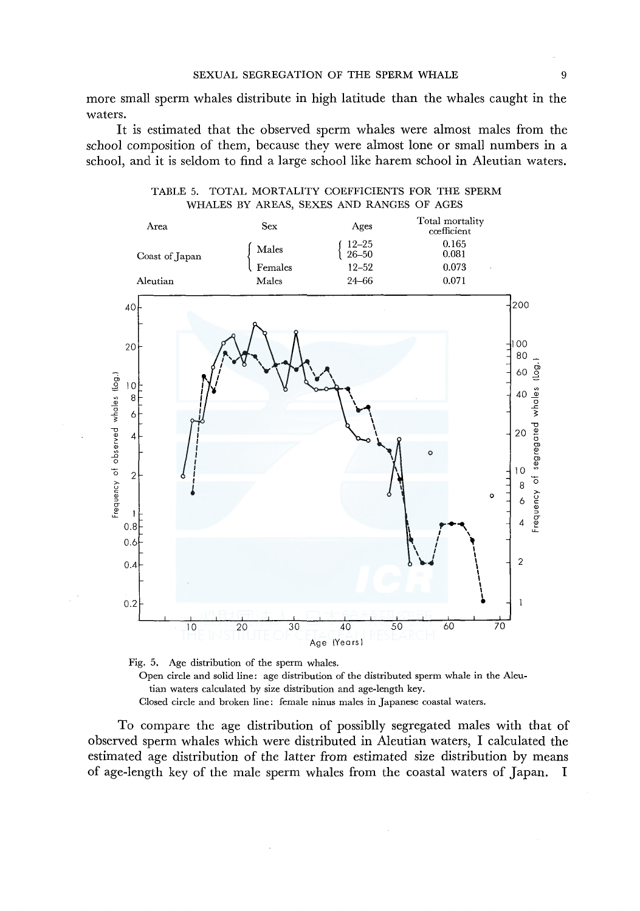more small sperm whales distribute in high latitude than the whales caught in the waters.

It is estimated that the observed sperm whales were almost males from the school composition of them, because they were almost lone or small numbers in a school, and it is seldom to find a large school like harem school in Aleutian waters.



TABLE 5. TOTAL MORTALITY COEFFICIENTS FOR THE SPERM WHALES BY AREAS, SEXES AND RANGES OF AGES



To compare the age distribution of possiblly segregated males with that of observed sperm whales which were distributed in Aleutian waters, I calculated the estimated age distribution of the latter from estimated size distribution by means of age-length key of the male sperm whales from the coastal waters of Japan. I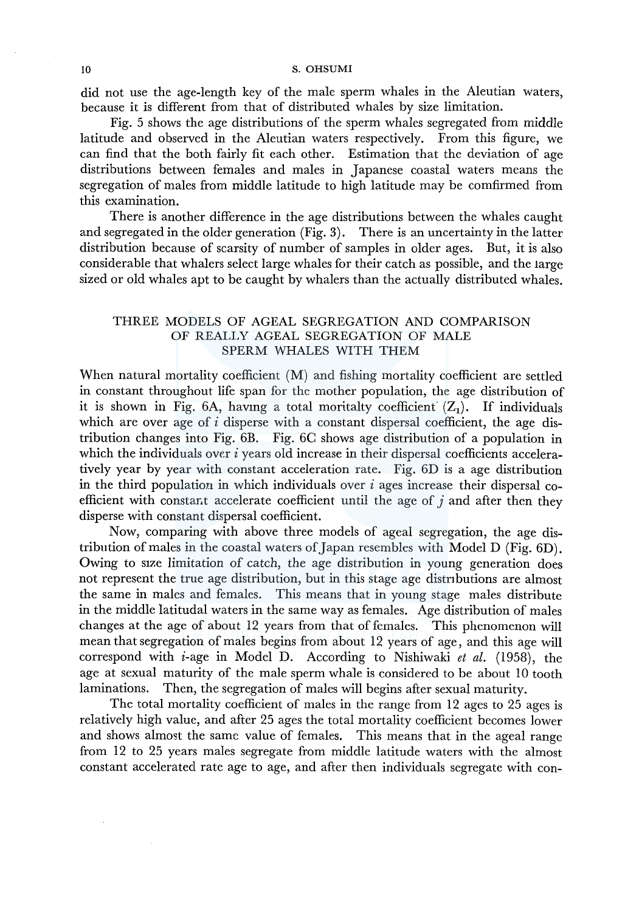did not use the age-length key of the male sperm whales in the Aleutian waters, because it is different from that of distributed whales by size limitation.

Fig. 5 shows the age distributions of the sperm whales segregated from middle latitude and observed in the Aleutian waters respectively. From this figure, we can find that the both fairly fit each other. Estimation that the deviation of age distributions between females and males in Japanese coastal waters means the segregation of males from middle latitude to high latitude may be comfirmed from this examination.

There is another difference in the age distributions between the whales caught and segregated in the older generation (Fig. 3). There is an uncertainty in the latter distribution because of scarsity of number of samples in older ages. But, it is also considerable that whalers select large whales for their catch as possible, and the large sized or old whales apt to be caught by whalers than the actually distributed whales.

## THREE MODELS OF AGEAL SEGREGATION AND COMPARISON OF REALLY AGEAL SEGREGATION OF MALE SPERM WHALES WITH THEM

When natural mortality coefficient (M) and fishing mortality coefficient are settled in constant throughout life span for the mother population, the age distribution of it is shown in Fig. 6A, having a total moritalty coefficient  $(Z_1)$ . If individuals which are over age of  $i$  disperse with a constant dispersal coefficient, the age distribution changes into Fig. 6B. Fig. 6C shows age distribution of a population in which the individuals over  $i$  years old increase in their dispersal coefficients acceleratively year by year with constant acceleration rate. Fig. 6D is a age distribution in the third population in which individuals over *i* ages increase their dispersal coefficient with constant accelerate coefficient until the age of  $j$  and after then they disperse with constant dispersal coefficient.

Now, comparing with above three models of ageal segregation, the age distribution of males in the coastal waters of Japan resembles with Model D (Fig. 6D). Owing to size limitation of catch, the age distribution in young generation does not represent the true age distribution, but in this stage age distributions are almost the same in males and females. This means that in young stage males distribute in the middle latitudal waters in the same way as females. Age distribution of males changes at the age of about 12 years from that of females. This phenomenon will mean that segregation of males begins from about 12 years of age, and this age will correspond with i-age in Model D. According to Nishiwaki *et al.* (1958), the age at sexual maturity of the male sperm whale is considered to be about 10 tooth laminations. Then, the segregation of males will begins after sexual maturity.

The total mortality coefficient of males in the range from 12 ages to 25 ages is relatively high value, and after 25 ages the total mortality coefficient becomes lower and shows almost the same value of females. This means that in the ageal range from 12 to 25 years males segregate from middle latitude waters with the almost constant accelerated rate age to age, and after then individuals segregate with con-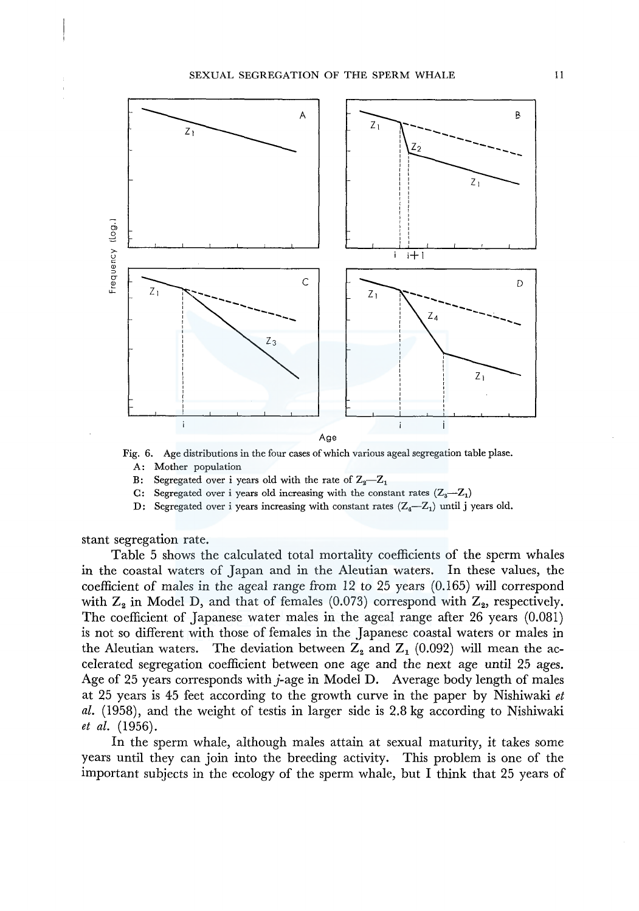

Fig. 6. Age distributions in the four cases of which various ageal segregation table plase. A: Mother population

- B: Segregated over i years old with the rate of  $Z_2-Z_1$
- C: Segregated over i years old increasing with the constant rates  $(Z_3-Z_1)$
- D: Segregated over i years increasing with constant rates  $(Z_4 Z_1)$  until j years old.

stant segregation rate.

Table 5 shows the calculated total mortality coefficients of the sperm whales in the coastal waters of Japan and in the Aleutian waters. In these values, the coefficient of males in the ageal range from 12 to 25 years (0.165) will correspond with  $Z_2$  in Model D, and that of females (0.073) correspond with  $Z_2$ , respectively. The coefficient of Japanese water males in the ageal range after 26 years (0.081) is not so different with those of females in the Japanese coastal waters or males in the Aleutian waters. The deviation between  $Z_2$  and  $Z_1$  (0.092) will mean the accelerated segregation coefficient between one age and the next age until 25 ages. Age of 25 years corresponds with  $j$ -age in Model D. Average body length of males at 25 years is 45 feet according to the growth curve in the paper by Nishiwaki *et al.* (1958), and the weight of testis in larger side is 2.8 kg according to Nishiwaki *et al.* (1956).

In the sperm whale, although males attain at sexual maturity, it takes some years until they can join into the breeding activity. This problem is one of the important subjects in the ecology of the sperm whale, but I think that 25 years of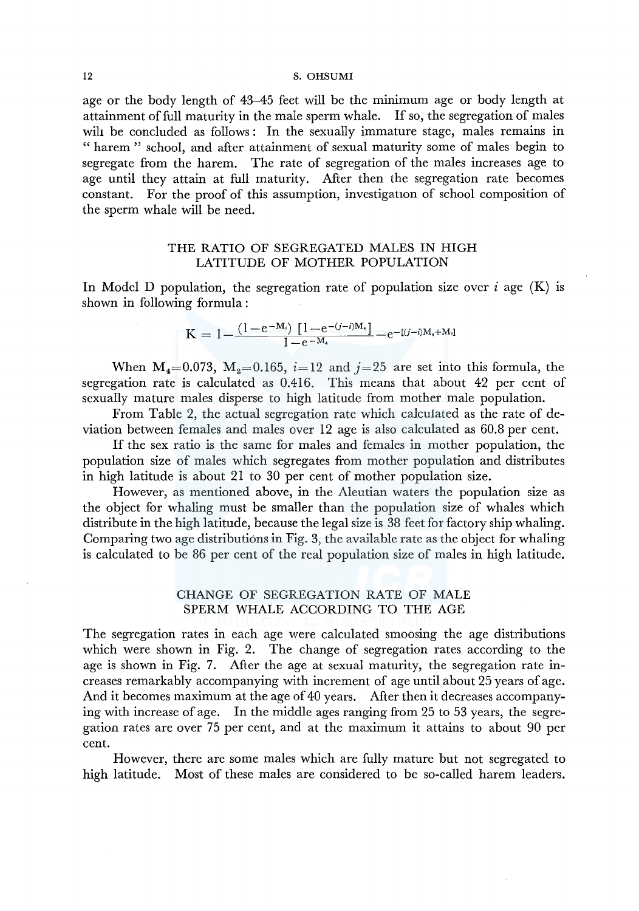age or the body length of 43-45 feet will be the minimum age or body length at attainment of full maturity in the male sperm whale. If so, the segregation of males wih be concluded as follows : In the sexually immature stage, males remains in " harem " school, and after attainment of sexual maturity some of males begin to segregate from the harem. The rate of segregation of the males increases age to age until they attain at full maturity. After then the segregation rate becomes constant. For the proof of this assumption, investigation of school composition of the sperm whale will be need.

# THE RATIO OF SEGREGATED MALES IN HIGH LATITUDE OF MOTHER POPULATION

In Model D population, the segregation rate of population size over  $i$  age (K) is shown in following formula :

$$
K=1\!-\!\frac{(1\!-\!e^{-M_i})\left[1\!-\!e^{-(j-i)M_i}\right]}{1\!-\!e^{-M_i}}\!-\!e^{-(j-i)M_i+M_i]}
$$

When  $M_4=0.073$ ,  $M_3=0.165$ ,  $i=12$  and  $j=25$  are set into this formula, the segregation rate is calculated as 0.416. This means that about 42 per cent of sexually mature males disperse to high latitude from mother male population.

From Table 2, the actual segregation rate which calculated as the rate of deviation between females and males over 12 age is also calculated as 60.8 per cent.

If the sex ratio is the same for males and females in mother population, the population size of males which segregates from mother population and distributes in high latitude is about 21 to 30 per cent of mother population size.

However, as mentioned above, in the Aleutian waters the population size as the object for whaling must be smaller than the population size of whales which distribute in the high latitude, because the legal size is 38 feet for factory ship whaling. Comparing two age distributions in Fig. 3, the available rate as the object for whaling is calculated to be 86 per cent of the real population size of males in high latitude.

# CHANGE OF SEGREGATION RATE OF MALE SPERM WHALE ACCORDING TO THE AGE

The segregation rates in each age were calculated smoosing the age distributions which were shown in Fig. 2. The change of segregation rates according to the age is shown in Fig. 7. After the age at sexual maturity, the segregation rate increases remarkably accompanying with increment of age until about 25 years of age. And it becomes maximum at the age of 40 years. After then it decreases accompanying with increase of age. In the middle ages ranging from 25 to 53 years, the segregation rates are over 75 per cent, and at the maximum it attains to about 90 per cent.

However, there are some males which are fully mature but not segregated to high latitude. Most of these males are considered to be so-called harem leaders.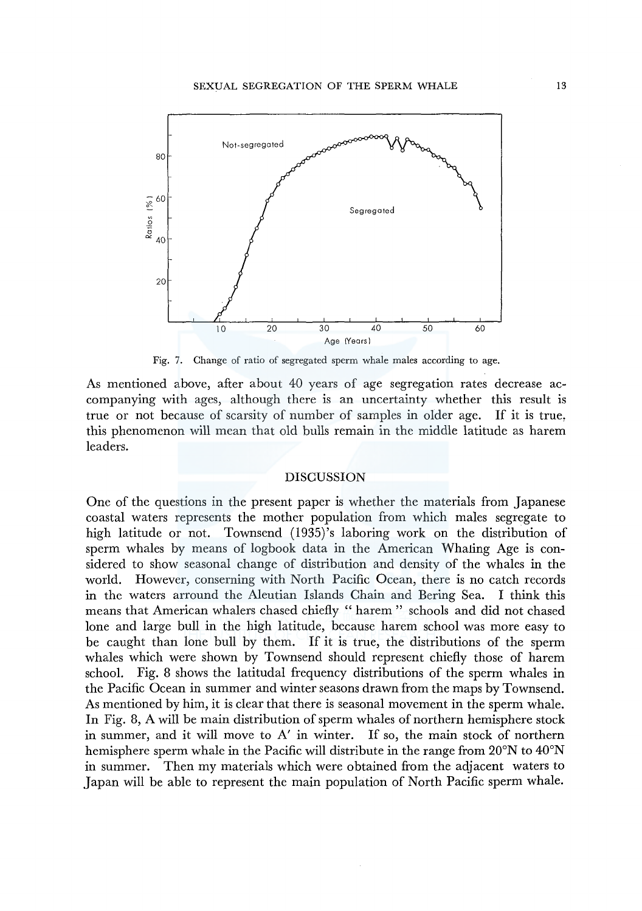

Fig. 7. Change of ratio of segregated sperm whale males according to age.

As mentioned above, after about 40 years of age segregation rates decrease accompanying with ages, although there is an uncertainty whether this result is true or not because of scarsity of number of samples in older age. If it is true, this phenomenon will mean that old bulls remain in the middle latitude as harem leaders.

#### DISCUSSION

One of the questions in the present paper is whether the materials from Japanese coastal waters represents the mother population from which males segregate to high latitude or not. Townsend (1935)'s laboring work on the distribution of sperm whales by means of logbook data in the American Whaling Age is considered to show seasonal change of distribution and density of the whales in the world. However, conserning with North Pacific Ocean, there is no catch records in the waters arround the Aleutian Islands Chain and Bering Sea. I think this means that American whalers chased chiefly " harem " schools and did not chased lone and large bull in the high latitude, because harem school was more easy to be caught than lone bull by them. If it is true, the distributions of the sperm whales which were shown by Townsend should represent chiefly those of harem school. Fig. 8 shows the latitudal frequency distributions of the sperm whales in the Pacific Ocean in summer and winter seasons drawn from the maps by Townsend. As mentioned by him, it is clear that there is seasonal movement in the sperm whale. In Fig. 8, A will be main distribution of sperm whales of northern hemisphere stock in summer, and it will move to  $A'$  in winter. If so, the main stock of northern hemisphere sperm whale in the Pacific will distribute in the range from 20°N to 40°N in summer. Then my materials which were obtained from the adjacent waters to Japan will be able to represent the main population of North Pacific sperm whale.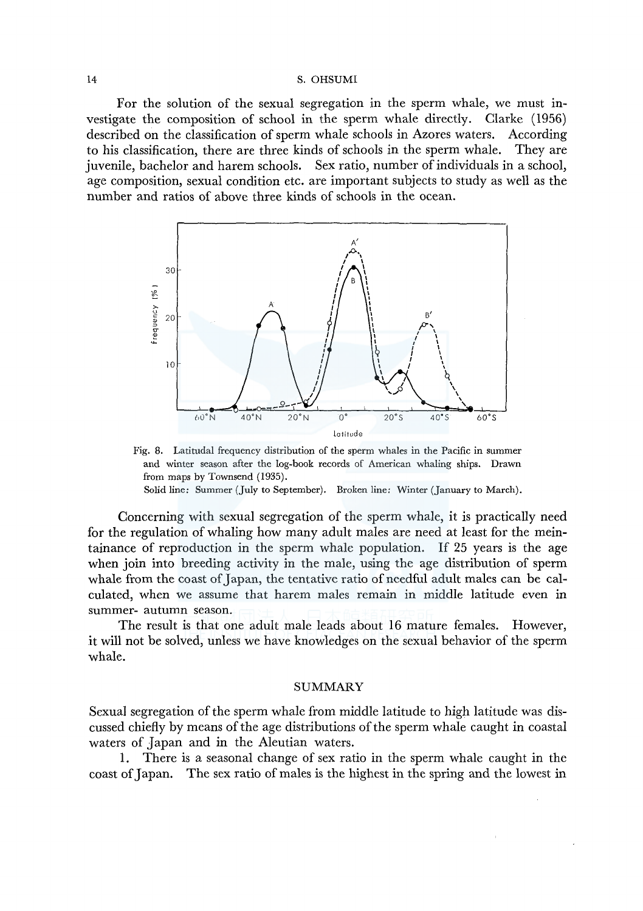For the solution of the sexual segregation in the sperm whale, we must investigate the composition of school in the sperm whale directly. Clarke (1956) described on the classification of sperm whale schools in Azores waters. According to his classification, there are three kinds of schools in the sperm whale. They are juvenile, bachelor and harem schools. Sex ratio, number of individuals in a school, age composition, sexual condition etc. are important subjects to study as well as the number and ratios of above three kinds of schools in the ocean.



Fig. 8. Latitudal frequency distribution of the sperm whales in the Pacific in summer and winter season after the log-book records of American whaling ships. Drawn from maps by Townsend (1935).

Solid line: Summer (July to September). Broken line: Winter (January to March).

Concerning with sexual segregation of the sperm whale, it is practically need for the regulation of whaling how many adult males are need at least for the meintainance of reproduction in the sperm whale population. If 25 years is the age when join into breeding activity in the male, using the age distribution of sperm whale from the coast of Japan, the tentative ratio of needful adult males can be calculated, when we assume that harem males remain in middle latitude even **in**  summer- autumn season.

The result is that one adult male leads about 16 mature females. However, it will not be solved, unless we have knowledges on the sexual behavior of the sperm whale.

#### SUMMARY

Sexual segregation of the sperm whale from middle latitude to high latitude was discussed chiefly by means of the age distributions of the sperm whale caught in coastal waters of Japan and in the Aleutian waters.

**1.** There is a seasonal change of sex ratio in the sperm whale caught in the coast of Japan. The sex ratio of males is the highest in the spring and the lowest in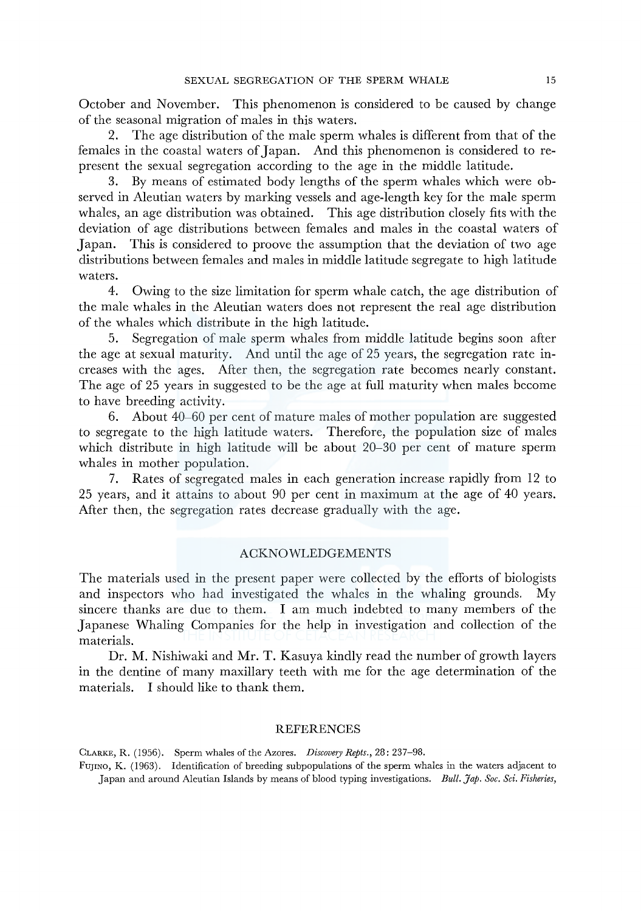October and November. This phenomenon is considered to be caused by change of the seasonal migration of males in this waters.

2. The age distribution of the male sperm whales is different from that of the females in the coastal waters of Japan. And this phenomenon is considered to represent the sexual segregation according to the age in the middle latitude.

3. By means of estimated body lengths of the sperm whales which were observed in Aleutian waters by marking vessels and age-length key for the male sperm whales, an age distribution was obtained. This age distribution closely fits with the deviation of age distributions between females and males in the coastal waters of Japan. This is considered to proove the assumption that the deviation of two age distributions between females and males in middle latitude segregate to high latitude waters.

4. Owing to the size limitation for sperm whale catch, the age distribution of the male whales in the Aleutian waters does not represent the real age distribution of the whales which distribute in the high latitude.

5. Segregation of male sperm whales from middle latitude begins soon after the age at sexual maturity. And until the age of 25 years, the segregation rate increases with the ages. After then, the segregation rate becomes nearly constant. The age of 25 years in suggested to be the age at full maturity when males become to have breeding activity.

6. About 40-60 per cent of mature males of mother population are suggested to segregate to the high latitude waters. Therefore, the population size of males which distribute in high latitude will be about 20-30 per cent of mature sperm whales in mother population.

7. Rates of segregated males in each generation increase rapidly from 12 to 25 years, and it attains to about 90 per cent in maximum at the age of 40 years. After then, the segregation rates decrease gradually with the age.

### ACKNOWLEDGEMENTS

The materials used in the present paper were collected by the efforts of biologists and inspectors who had investigated the whales in the whaling grounds. My sincere thanks are due to them. I am much indebted to many members of the Japanese Whaling Companies for the help in investigation and collection of the materials.

Dr. M. Nishiwaki and Mr. T. Kasuya kindly read the number of growth layers in the dentine of many maxillary teeth with me for the age determination of the materials. I should like to thank them.

### REFERENCES

CLARKE, R. (1956). Sperm whales of the Azores. *Discovery Repts.,* 28: 237-98.

FUJINO, K. (1963). Identification of breeding subpopulations of the sperm whales in the waters adjacent to Ja pan and around Aleutian Islands by means of blood typing investigations. *Bull. Jap. Soc. Sci. Fisheries,*